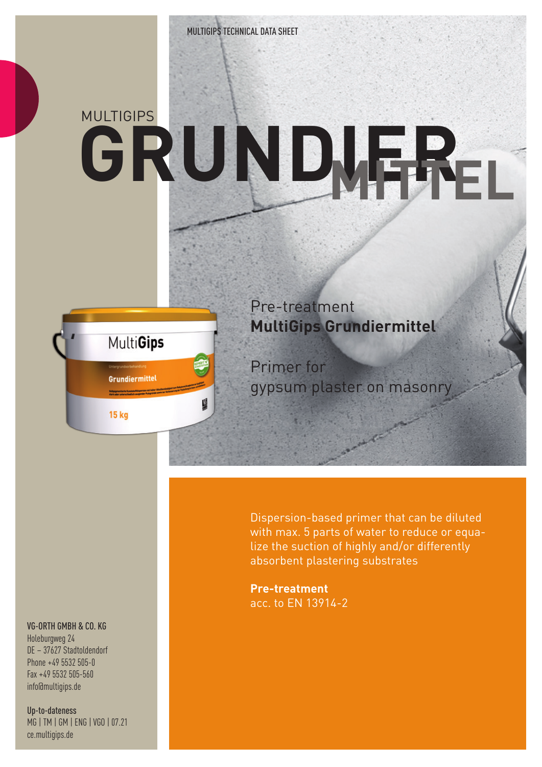# MULTIGIPS **GRUNDIER MITTEL**



Pre-treatment **MultiGips Grundiermittel**

Primer for gypsum plaster on masonry

Dispersion-based primer that can be diluted with max. 5 parts of water to reduce or equalize the suction of highly and/or differently absorbent plastering substrates

**Pre-treatment** acc. to EN 13914-2

### VG-ORTH GMBH & CO. KG

Holeburgweg 24 DE – 37627 Stadtoldendorf Phone +49 5532 505-0 Fax +49 5532 505-560 info@multigips.de

Up-to-dateness MG | TM | GM | ENG | VGO | 07.21 ce.multigips.de